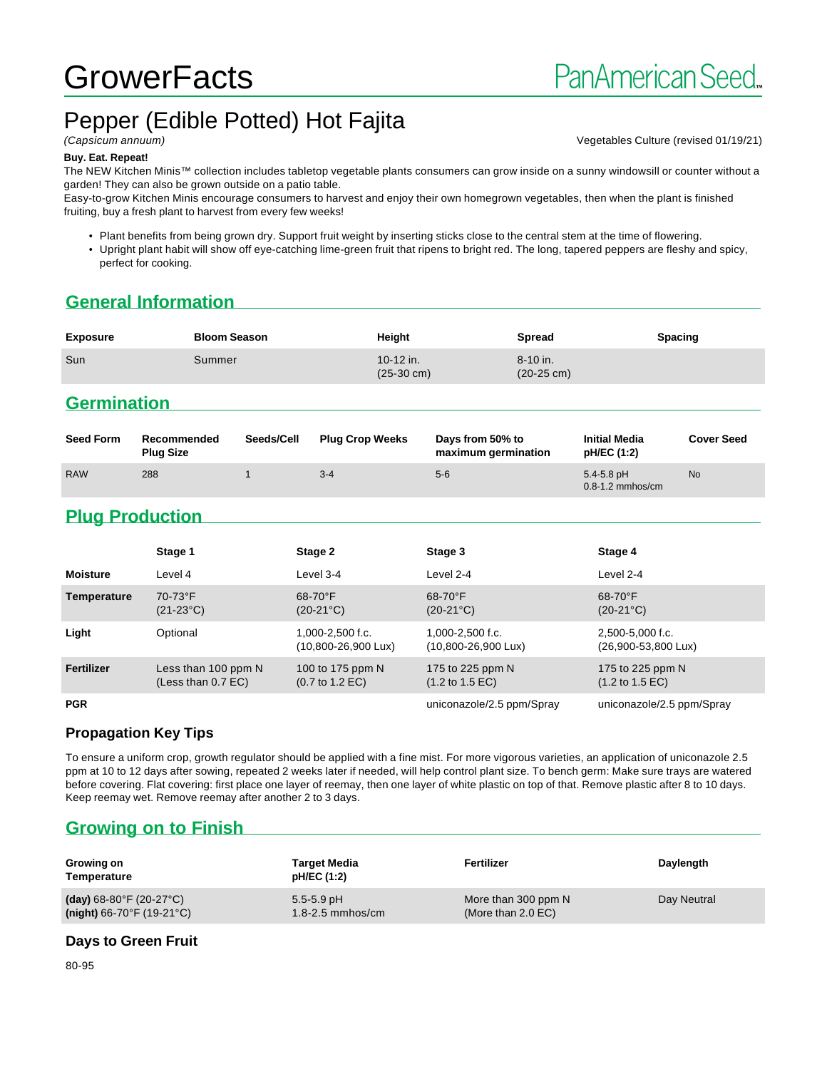# **GrowerFacts**

## Pepper (Edible Potted) Hot Fajita

(Capsicum annuum) Vegetables Culture (revised 01/19/21)

#### **Buy. Eat. Repeat!**

The NEW Kitchen Minis™ collection includes tabletop vegetable plants consumers can grow inside on a sunny windowsill or counter without a garden! They can also be grown outside on a patio table.

Easy-to-grow Kitchen Minis encourage consumers to harvest and enjoy their own homegrown vegetables, then when the plant is finished fruiting, buy a fresh plant to harvest from every few weeks!

- Plant benefits from being grown dry. Support fruit weight by inserting sticks close to the central stem at the time of flowering.
- Upright plant habit will show off eye-catching lime-green fruit that ripens to bright red. The long, tapered peppers are fleshy and spicy, perfect for cooking.

## **General Information**

| <b>Exposure</b> | <b>Bloom Season</b> | Height                            | Spread                               | <b>Spacing</b> |
|-----------------|---------------------|-----------------------------------|--------------------------------------|----------------|
| Sun             | Summer              | 10-12 in.<br>$(25-30 \text{ cm})$ | $8 - 10$ in.<br>$(20-25 \text{ cm})$ |                |

## **Germination**

| <b>Seed Form</b> | Recommended<br><b>Plug Size</b> | Seeds/Cell | <b>Plug Crop Weeks</b> | Days from 50% to<br>maximum germination | <b>Initial Media</b><br>pH/EC (1:2)    | <b>Cover Seed</b> |
|------------------|---------------------------------|------------|------------------------|-----------------------------------------|----------------------------------------|-------------------|
| <b>RAW</b>       | 288                             |            | $3 - 4$                | $5-6$                                   | $5.4 - 5.8$ pH<br>$0.8 - 1.2$ mmhos/cm | <b>No</b>         |

## **Plug Production**

|                   | Stage 1                                     | Stage 2                                                | Stage 3                                                 | Stage 4                                                |
|-------------------|---------------------------------------------|--------------------------------------------------------|---------------------------------------------------------|--------------------------------------------------------|
| <b>Moisture</b>   | Level 4                                     | Level 3-4                                              | Level 2-4                                               | Level 2-4                                              |
| Temperature       | 70-73°F<br>$(21-23°C)$                      | $68-70$ °F<br>$(20-21^{\circ}C)$                       | 68-70°F<br>$(20-21^{\circ}C)$                           | 68-70°F<br>$(20-21^{\circ}C)$                          |
| Light             | Optional                                    | 1,000-2,500 f.c.<br>$(10,800 - 26,900 \text{ Lux})$    | $1.000 - 2.500$ f.c.<br>$(10,800 - 26,900 \text{ Lux})$ | 2,500-5,000 f.c.<br>(26,900-53,800 Lux)                |
| <b>Fertilizer</b> | Less than 100 ppm N<br>(Less than $0.7$ EC) | 100 to 175 ppm N<br>$(0.7 \text{ to } 1.2 \text{ EC})$ | 175 to 225 ppm N<br>$(1.2 \text{ to } 1.5 \text{ EC})$  | 175 to 225 ppm N<br>$(1.2 \text{ to } 1.5 \text{ EC})$ |
| <b>PGR</b>        |                                             |                                                        | uniconazole/2.5 ppm/Spray                               | uniconazole/2.5 ppm/Spray                              |

#### **Propagation Key Tips**

To ensure a uniform crop, growth regulator should be applied with a fine mist. For more vigorous varieties, an application of uniconazole 2.5 ppm at 10 to 12 days after sowing, repeated 2 weeks later if needed, will help control plant size. To bench germ: Make sure trays are watered before covering. Flat covering: first place one layer of reemay, then one layer of white plastic on top of that. Remove plastic after 8 to 10 days. Keep reemay wet. Remove reemay after another 2 to 3 days.

## **Growing on to Finish**

| Growing on<br>Temperature                    | <b>Target Media</b><br>pH/EC (1:2) | Fertilizer           | Daylength   |
|----------------------------------------------|------------------------------------|----------------------|-------------|
| (day) $68-80^{\circ}$ F (20-27 $^{\circ}$ C) | $5.5 - 5.9$ pH                     | More than 300 ppm N  | Day Neutral |
| $(night)$ 66-70°F (19-21°C)                  | $1.8 - 2.5$ mmhos/cm               | (More than $2.0$ EC) |             |

#### **Days to Green Fruit**

80-95